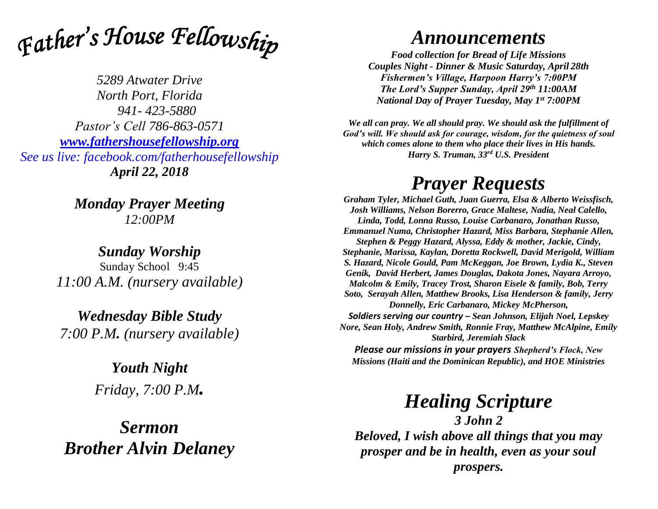

*5289 Atwater Drive North Port, Florida 941- 423-5880 Pastor's Cell 786-863-0571 [www.fathershousefellowship.org](http://www.fathershousefellowship.org/) See us live: facebook.com/fatherhousefellowship April 22, 2018*

> *Monday Prayer Meeting 12:00PM*

*Sunday Worship* Sunday School 9:45 *11:00 A.M. (nursery available)*

*Wednesday Bible Study 7:00 P.M. (nursery available)*

> *Youth Night Friday, 7:00 P.M.*

*Sermon Brother Alvin Delaney*

## *Announcements*

*Food collection for Bread of Life Missions Couples Night - Dinner & Music Saturday, April 28th Fishermen's Village, Harpoon Harry's 7:00PM The Lord's Supper Sunday, April 29th 11:00AM National Day of Prayer Tuesday, May 1st 7:00PM*

*We all can pray. We all should pray. We should ask the fulfillment of God's will. We should ask for courage, wisdom, for the quietness of soul which comes alone to them who place their lives in His hands. Harry S. Truman, 33rd U.S. President*

## *Prayer Requests*

*Graham Tyler, Michael Guth, Juan Guerra, Elsa & Alberto Weissfisch, Josh Williams, Nelson Borerro, Grace Maltese, Nadia, Neal Calello, Linda, Todd, Lonna Russo, Louise Carbanaro, Jonathan Russo, Emmanuel Numa, Christopher Hazard, Miss Barbara, Stephanie Allen, Stephen & Peggy Hazard, Alyssa, Eddy & mother, Jackie, Cindy, Stephanie, Marissa, Kaylan, Doretta Rockwell, David Merigold, William S. Hazard, Nicole Gould, Pam McKeggan, Joe Brown, Lydia K., Steven Genik, David Herbert, James Douglas, Dakota Jones, Nayara Arroyo, Malcolm & Emily, Tracey Trost, Sharon Eisele & family, Bob, Terry Soto, Serayah Allen, Matthew Brooks, Lisa Henderson & family, Jerry Donnelly, Eric Carbanaro, Mickey McPherson, Soldiers serving our country – Sean Johnson, Elijah Noel, Lepskey Nore, Sean Holy, Andrew Smith, Ronnie Fray, Matthew McAlpine, Emily Starbird, Jeremiah Slack*

*Please our missions in your prayers Shepherd's Flock, New Missions (Haiti and the Dominican Republic), and HOE Ministries*

*Healing Scripture*

*3 John 2 Beloved, I wish above all things that you may prosper and be in health, even as your soul prospers.*